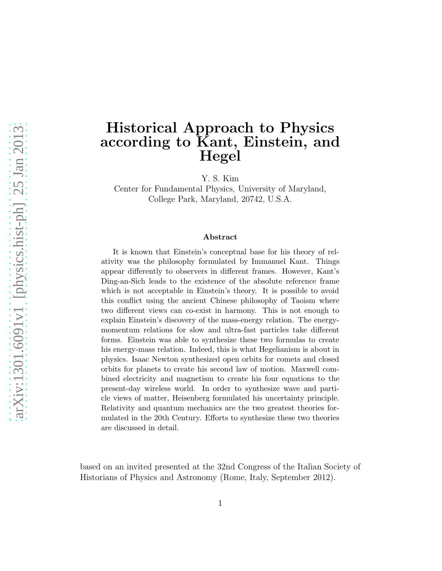# Historical Approach to Physics according to Kant, Einstein, and Hegel

Y. S. Kim

Center for Fundamental Physics, University of Maryland, College Park, Maryland, 20742, U.S.A.

#### Abstract

It is known that Einstein's conceptual base for his theory of relativity was the philosophy formulated by Immanuel Kant. Things appear differently to observers in different frames. However, Kant's Ding-an-Sich leads to the existence of the absolute reference frame which is not acceptable in Einstein's theory. It is possible to avoid this conflict using the ancient Chinese philosophy of Taoism where two different views can co-exist in harmony. This is not enough to explain Einstein's discovery of the mass-energy relation. The energymomentum relations for slow and ultra-fast particles take different forms. Einstein was able to synthesize these two formulas to create his energy-mass relation. Indeed, this is what Hegelianism is about in physics. Isaac Newton synthesized open orbits for comets and closed orbits for planets to create his second law of motion. Maxwell combined electricity and magnetism to create his four equations to the present-day wireless world. In order to synthesize wave and particle views of matter, Heisenberg formulated his uncertainty principle. Relativity and quantum mechanics are the two greatest theories formulated in the 20th Century. Efforts to synthesize these two theories are discussed in detail.

based on an invited presented at the 32nd Congress of the Italian Society of Historians of Physics and Astronomy (Rome, Italy, September 2012).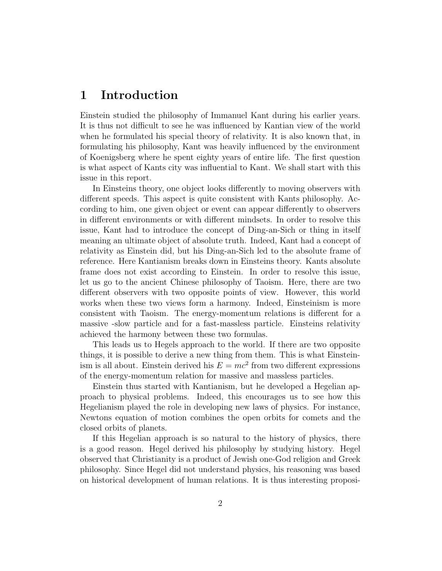#### 1 Introduction

Einstein studied the philosophy of Immanuel Kant during his earlier years. It is thus not difficult to see he was influenced by Kantian view of the world when he formulated his special theory of relativity. It is also known that, in formulating his philosophy, Kant was heavily influenced by the environment of Koenigsberg where he spent eighty years of entire life. The first question is what aspect of Kants city was influential to Kant. We shall start with this issue in this report.

In Einsteins theory, one object looks differently to moving observers with different speeds. This aspect is quite consistent with Kants philosophy. According to him, one given object or event can appear differently to observers in different environments or with different mindsets. In order to resolve this issue, Kant had to introduce the concept of Ding-an-Sich or thing in itself meaning an ultimate object of absolute truth. Indeed, Kant had a concept of relativity as Einstein did, but his Ding-an-Sich led to the absolute frame of reference. Here Kantianism breaks down in Einsteins theory. Kants absolute frame does not exist according to Einstein. In order to resolve this issue, let us go to the ancient Chinese philosophy of Taoism. Here, there are two different observers with two opposite points of view. However, this world works when these two views form a harmony. Indeed, Einsteinism is more consistent with Taoism. The energy-momentum relations is different for a massive -slow particle and for a fast-massless particle. Einsteins relativity achieved the harmony between these two formulas.

This leads us to Hegels approach to the world. If there are two opposite things, it is possible to derive a new thing from them. This is what Einsteinism is all about. Einstein derived his  $E = mc^2$  from two different expressions of the energy-momentum relation for massive and massless particles.

Einstein thus started with Kantianism, but he developed a Hegelian approach to physical problems. Indeed, this encourages us to see how this Hegelianism played the role in developing new laws of physics. For instance, Newtons equation of motion combines the open orbits for comets and the closed orbits of planets.

If this Hegelian approach is so natural to the history of physics, there is a good reason. Hegel derived his philosophy by studying history. Hegel observed that Christianity is a product of Jewish one-God religion and Greek philosophy. Since Hegel did not understand physics, his reasoning was based on historical development of human relations. It is thus interesting proposi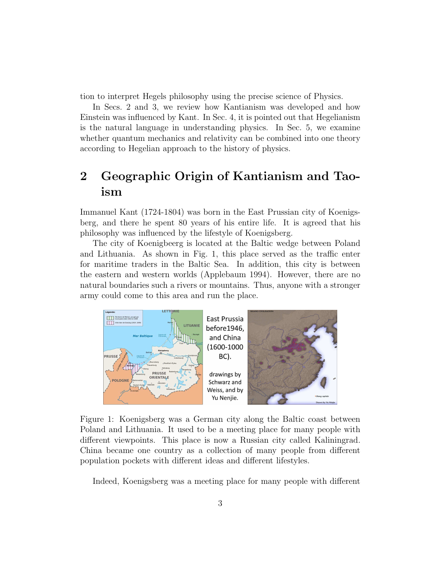tion to interpret Hegels philosophy using the precise science of Physics.

In Secs. 2 and 3, we review how Kantianism was developed and how Einstein was influenced by Kant. In Sec. 4, it is pointed out that Hegelianism is the natural language in understanding physics. In Sec. 5, we examine whether quantum mechanics and relativity can be combined into one theory according to Hegelian approach to the history of physics.

# 2 Geographic Origin of Kantianism and Taoism

Immanuel Kant (1724-1804) was born in the East Prussian city of Koenigsberg, and there he spent 80 years of his entire life. It is agreed that his philosophy was influenced by the lifestyle of Koenigsberg.

The city of Koenigbeerg is located at the Baltic wedge between Poland and Lithuania. As shown in Fig. 1, this place served as the traffic enter for maritime traders in the Baltic Sea. In addition, this city is between the eastern and western worlds (Applebaum 1994). However, there are no natural boundaries such a rivers or mountains. Thus, anyone with a stronger army could come to this area and run the place.



Figure 1: Koenigsberg was a German city along the Baltic coast between Poland and Lithuania. It used to be a meeting place for many people with different viewpoints. This place is now a Russian city called Kaliningrad. China became one country as a collection of many people from different population pockets with different ideas and different lifestyles.

Indeed, Koenigsberg was a meeting place for many people with different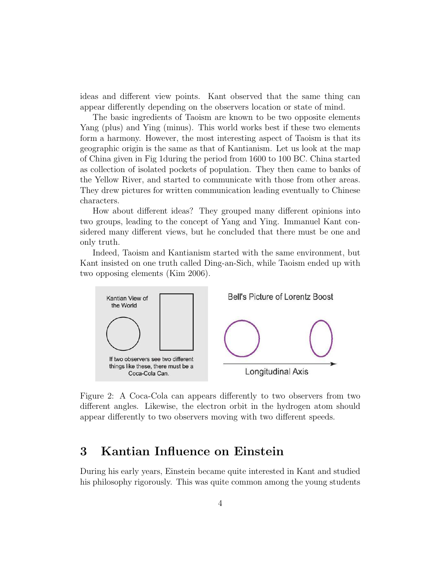ideas and different view points. Kant observed that the same thing can appear differently depending on the observers location or state of mind.

The basic ingredients of Taoism are known to be two opposite elements Yang (plus) and Ying (minus). This world works best if these two elements form a harmony. However, the most interesting aspect of Taoism is that its geographic origin is the same as that of Kantianism. Let us look at the map of China given in Fig 1during the period from 1600 to 100 BC. China started as collection of isolated pockets of population. They then came to banks of the Yellow River, and started to communicate with those from other areas. They drew pictures for written communication leading eventually to Chinese characters.

How about different ideas? They grouped many different opinions into two groups, leading to the concept of Yang and Ying. Immanuel Kant considered many different views, but he concluded that there must be one and only truth.

Indeed, Taoism and Kantianism started with the same environment, but Kant insisted on one truth called Ding-an-Sich, while Taoism ended up with two opposing elements (Kim 2006).



Figure 2: A Coca-Cola can appears differently to two observers from two different angles. Likewise, the electron orbit in the hydrogen atom should appear differently to two observers moving with two different speeds.

### 3 Kantian Influence on Einstein

During his early years, Einstein became quite interested in Kant and studied his philosophy rigorously. This was quite common among the young students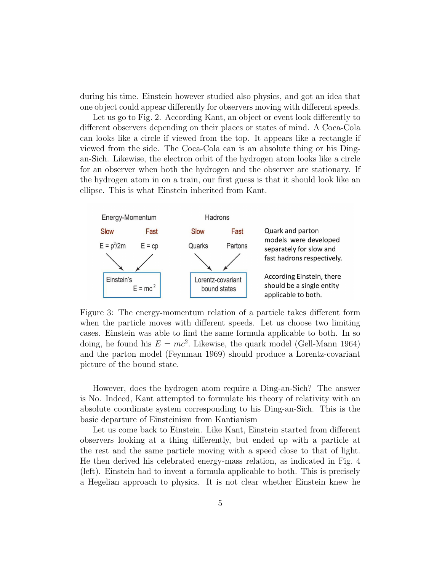during his time. Einstein however studied also physics, and got an idea that one object could appear differently for observers moving with different speeds.

Let us go to Fig. 2. According Kant, an object or event look differently to different observers depending on their places or states of mind. A Coca-Cola can looks like a circle if viewed from the top. It appears like a rectangle if viewed from the side. The Coca-Cola can is an absolute thing or his Dingan-Sich. Likewise, the electron orbit of the hydrogen atom looks like a circle for an observer when both the hydrogen and the observer are stationary. If the hydrogen atom in on a train, our first guess is that it should look like an ellipse. This is what Einstein inherited from Kant.



Figure 3: The energy-momentum relation of a particle takes different form when the particle moves with different speeds. Let us choose two limiting cases. Einstein was able to find the same formula applicable to both. In so doing, he found his  $E = mc^2$ . Likewise, the quark model (Gell-Mann 1964) and the parton model (Feynman 1969) should produce a Lorentz-covariant picture of the bound state.

However, does the hydrogen atom require a Ding-an-Sich? The answer is No. Indeed, Kant attempted to formulate his theory of relativity with an absolute coordinate system corresponding to his Ding-an-Sich. This is the basic departure of Einsteinism from Kantianism

Let us come back to Einstein. Like Kant, Einstein started from different observers looking at a thing differently, but ended up with a particle at the rest and the same particle moving with a speed close to that of light. He then derived his celebrated energy-mass relation, as indicated in Fig. 4 (left). Einstein had to invent a formula applicable to both. This is precisely a Hegelian approach to physics. It is not clear whether Einstein knew he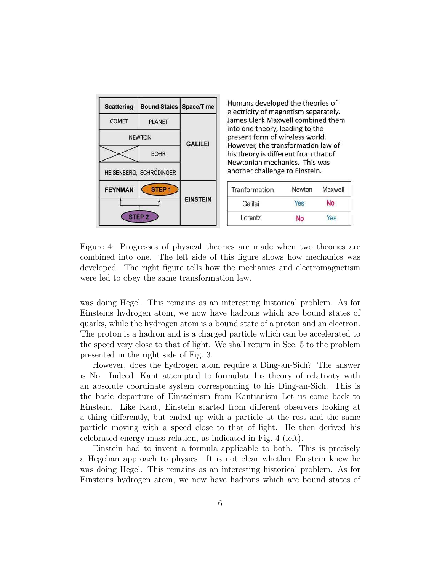

Figure 4: Progresses of physical theories are made when two theories are combined into one. The left side of this figure shows how mechanics was developed. The right figure tells how the mechanics and electromagnetism were led to obey the same transformation law.

was doing Hegel. This remains as an interesting historical problem. As for Einsteins hydrogen atom, we now have hadrons which are bound states of quarks, while the hydrogen atom is a bound state of a proton and an electron. The proton is a hadron and is a charged particle which can be accelerated to the speed very close to that of light. We shall return in Sec. 5 to the problem presented in the right side of Fig. 3.

However, does the hydrogen atom require a Ding-an-Sich? The answer is No. Indeed, Kant attempted to formulate his theory of relativity with an absolute coordinate system corresponding to his Ding-an-Sich. This is the basic departure of Einsteinism from Kantianism Let us come back to Einstein. Like Kant, Einstein started from different observers looking at a thing differently, but ended up with a particle at the rest and the same particle moving with a speed close to that of light. He then derived his celebrated energy-mass relation, as indicated in Fig. 4 (left).

Einstein had to invent a formula applicable to both. This is precisely a Hegelian approach to physics. It is not clear whether Einstein knew he was doing Hegel. This remains as an interesting historical problem. As for Einsteins hydrogen atom, we now have hadrons which are bound states of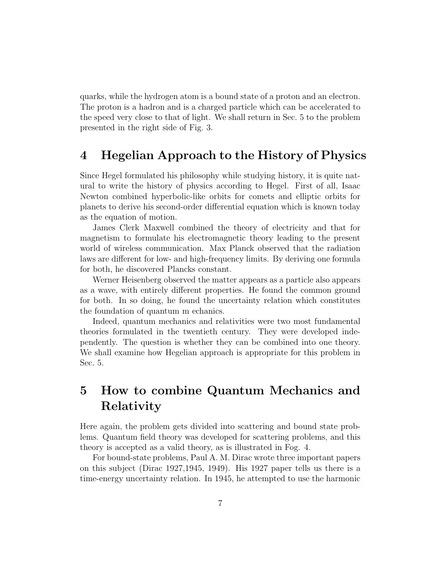quarks, while the hydrogen atom is a bound state of a proton and an electron. The proton is a hadron and is a charged particle which can be accelerated to the speed very close to that of light. We shall return in Sec. 5 to the problem presented in the right side of Fig. 3.

#### 4 Hegelian Approach to the History of Physics

Since Hegel formulated his philosophy while studying history, it is quite natural to write the history of physics according to Hegel. First of all, Isaac Newton combined hyperbolic-like orbits for comets and elliptic orbits for planets to derive his second-order differential equation which is known today as the equation of motion.

James Clerk Maxwell combined the theory of electricity and that for magnetism to formulate his electromagnetic theory leading to the present world of wireless communication. Max Planck observed that the radiation laws are different for low- and high-frequency limits. By deriving one formula for both, he discovered Plancks constant.

Werner Heisenberg observed the matter appears as a particle also appears as a wave, with entirely different properties. He found the common ground for both. In so doing, he found the uncertainty relation which constitutes the foundation of quantum m echanics.

Indeed, quantum mechanics and relativities were two most fundamental theories formulated in the twentieth century. They were developed independently. The question is whether they can be combined into one theory. We shall examine how Hegelian approach is appropriate for this problem in Sec. 5.

# 5 How to combine Quantum Mechanics and Relativity

Here again, the problem gets divided into scattering and bound state problems. Quantum field theory was developed for scattering problems, and this theory is accepted as a valid theory, as is illustrated in Fog. 4.

For bound-state problems, Paul A. M. Dirac wrote three important papers on this subject (Dirac 1927,1945, 1949). His 1927 paper tells us there is a time-energy uncertainty relation. In 1945, he attempted to use the harmonic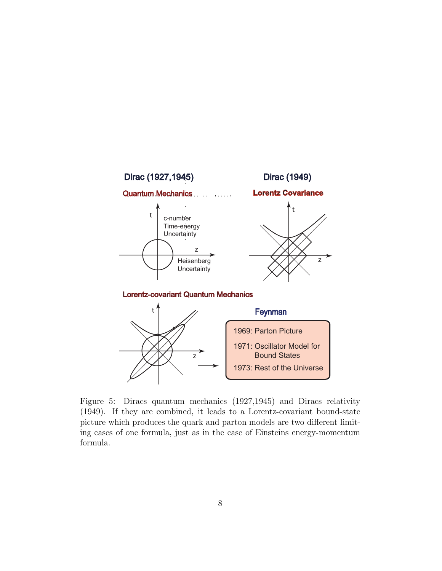

Figure 5: Diracs quantum mechanics (1927,1945) and Diracs relativity (1949). If they are combined, it leads to a Lorentz-covariant bound-state picture which produces the quark and parton models are two different limiting cases of one formula, just as in the case of Einsteins energy-momentum formula.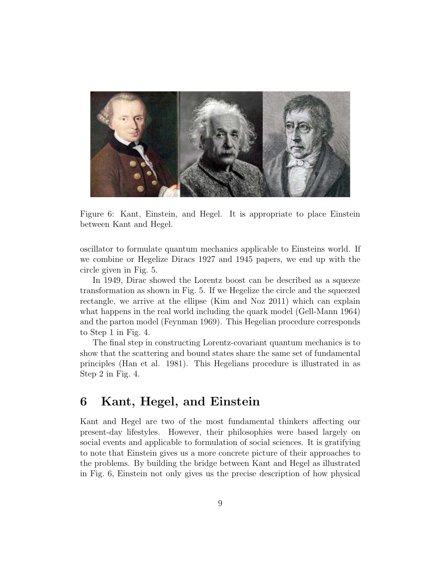

Figure 6: Kant, Einstein, and Hegel. It is appropriate to place Einstein between Kant and Hegel.

oscillator to formulate quantum mechanics applicable to Einsteins world. If we combine or Hegelize Diracs 1927 and 1945 papers, we end up with the circle given in Fig. 5.

In 1949, Dirac showed the Lorentz boost can be described as a squeeze transformation as shown in Fig. 5. If we Hegelize the circle and the squeezed rectangle, we arrive at the ellipse (Kim and Noz 2011) which can explain what happens in the real world including the quark model (Gell-Mann 1964) and the parton model (Feynman 1969). This Hegelian procedure corresponds to Step 1 in Fig. 4.

The final step in constructing Lorentz-covariant quantum mechanics is to show that the scattering and bound states share the same set of fundamental principles (Han et al. 1981). This Hegelians procedure is illustrated in as Step 2 in Fig. 4.

### 6 Kant, Hegel, and Einstein

Kant and Hegel are two of the most fundamental thinkers affecting our present-day lifestyles. However, their philosophies were based largely on social events and applicable to formulation of social sciences. It is gratifying to note that Einstein gives us a more concrete picture of their approaches to the problems. By building the bridge between Kant and Hegel as illustrated in Fig. 6, Einstein not only gives us the precise description of how physical